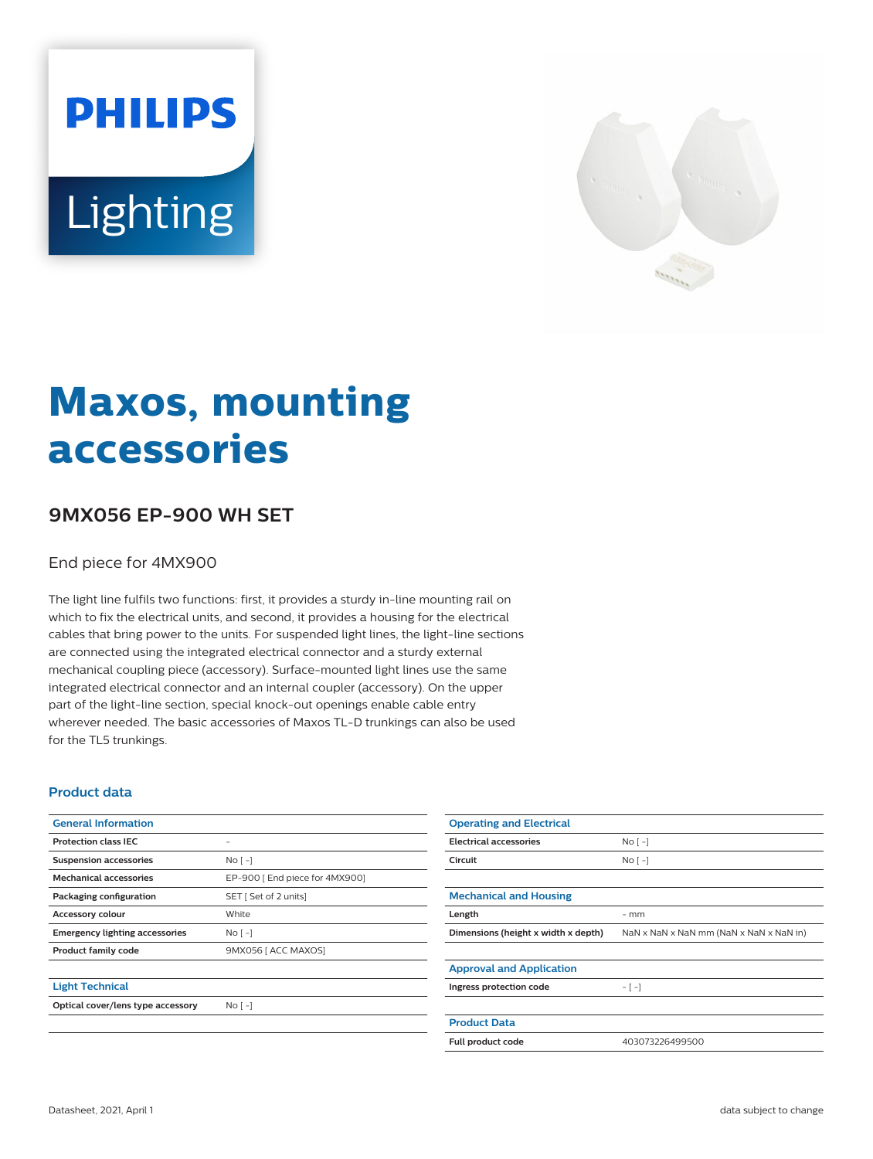# **PHILIPS** Lighting



## **Maxos, mounting accessories**

### **9MX056 EP-900 WH SET**

#### End piece for 4MX900

The light line fulfils two functions: first, it provides a sturdy in-line mounting rail on which to fix the electrical units, and second, it provides a housing for the electrical cables that bring power to the units. For suspended light lines, the light-line sections are connected using the integrated electrical connector and a sturdy external mechanical coupling piece (accessory). Surface-mounted light lines use the same integrated electrical connector and an internal coupler (accessory). On the upper part of the light-line section, special knock-out openings enable cable entry wherever needed. The basic accessories of Maxos TL-D trunkings can also be used for the TL5 trunkings.

#### **Product data**

| <b>General Information</b>            |                               |
|---------------------------------------|-------------------------------|
| <b>Protection class IEC</b>           |                               |
| <b>Suspension accessories</b>         | No <sub>1</sub>               |
| <b>Mechanical accessories</b>         | EP-900 [End piece for 4MX900] |
| Packaging configuration               | SET [ Set of 2 units]         |
| <b>Accessory colour</b>               | White                         |
| <b>Emergency lighting accessories</b> | No <sub>1</sub>               |
| <b>Product family code</b>            | 9MX056 [ ACC MAXOS]           |
|                                       |                               |
| <b>Light Technical</b>                |                               |
| Optical cover/lens type accessory     | No <sub>1</sub>               |

| <b>Operating and Electrical</b>     |                                         |
|-------------------------------------|-----------------------------------------|
| <b>Electrical accessories</b>       | No <sub>1</sub>                         |
| Circuit                             | $No$ [ -1                               |
|                                     |                                         |
| <b>Mechanical and Housing</b>       |                                         |
| Length                              | $-$ mm                                  |
| Dimensions (height x width x depth) | NaN x NaN x NaN mm (NaN x NaN x NaN in) |
|                                     |                                         |
| <b>Approval and Application</b>     |                                         |
| Ingress protection code             | $-[-]$                                  |
|                                     |                                         |
| <b>Product Data</b>                 |                                         |
| Full product code                   | 403073226499500                         |
|                                     |                                         |